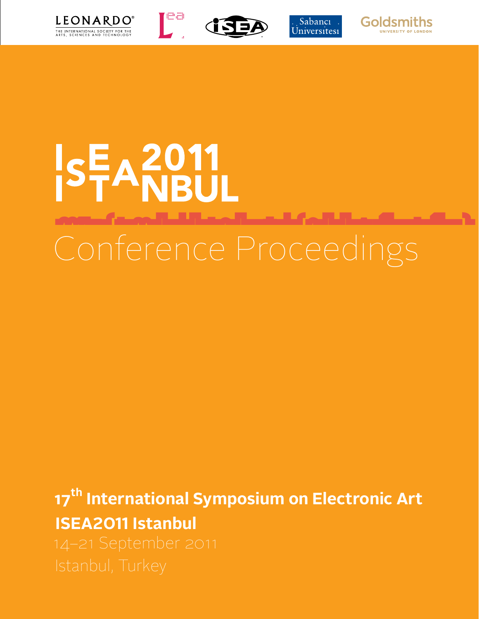



re<br>I





## Conference Proceedings SFA2011

**17<sup>th</sup> International Symposium on Electronic Art ISEA2011 Istanbul**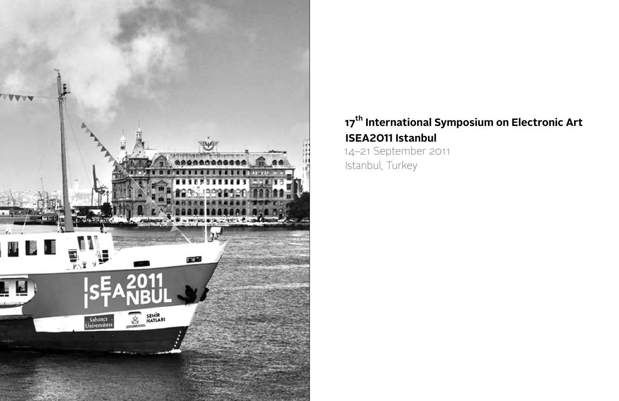

## **17<sup>th</sup> International Symposium on Electronic Art ISEA2011 Istanbul** 14–21 September 2011 Istanbul, Turkey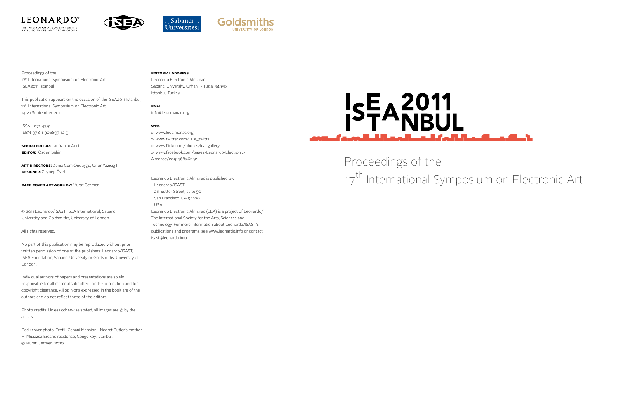







Proceedings of the 17<sup>th</sup> International Symposium on Electronic Art ISEA2011 Istanbul

**SENIOR EDITOR: Lanfranco Aceti Edıtor:** Özden Şahin

This publication appears on the occasion of the ISEA2011 Istanbul, 17<sup>th</sup> International Symposium on Electronic Art, 14-21 September 2011.

ISSN: 1071-4391 ISBN: 978-1-906897-12-3

**Art Dırectors:** Deniz Cem Önduygu, Onur Yazıcıgil **Designer:** Zeynep Özel

**BACK COVER ARTWORK BY: Murat Germen** 

© 2011 Leonardo/ISAST, ISEA International, Sabanci University and Goldsmiths, University of London.

### All rights reserved.

No part of this publication may be reproduced without prior written permission of one of the publishers: Leonardo/ISAST, ISEA Foundation, Sabanci University or Goldsmiths, University of London.

Individual authors of papers and presentations are solely responsible for all material submitted for the publication and for copyright clearance. All opinions expressed in the book are of the authors and do not reflect those of the editors.

Photo credits: Unless otherwise stated, all images are © by the artists.

Back cover photo: Tevfik Cenani Mansion - Nedret Butler's mother H. Muazzez Ercan's residence, Çengelköy, İstanbul. © Murat Germen, 2010

### **editorial address**

Leonardo Electronic Almanac Sabanci University, Orhanli - Tuzla, 34956 Istanbul, Turkey

**email**

info@leoalmanac.org

## **Web**

- » www.leoalmanac.org
- » www.twitter.com/LEA\_twitts
- » www.flickr.com/photos/lea\_gallery
- » www.facebook.com/pages/Leonardo-Electronic-Almanac/209156896252

Leonardo Electronic Almanac is published by: Leonardo/ISAST 211 Sutter Street, suite 501 San Francisco, CA 94108 USA Leonardo Electronic Almanac (LEA) is a project of Leonardo/ The International Society for the Arts, Sciences and Technology. For more information about Leonardo/ISAST's publications and programs, see www.leonardo.info or contact isast@leonardo.info.

# ISEA2011

Proceedings of the 17<sup>th</sup> International Symposium on Electronic Art

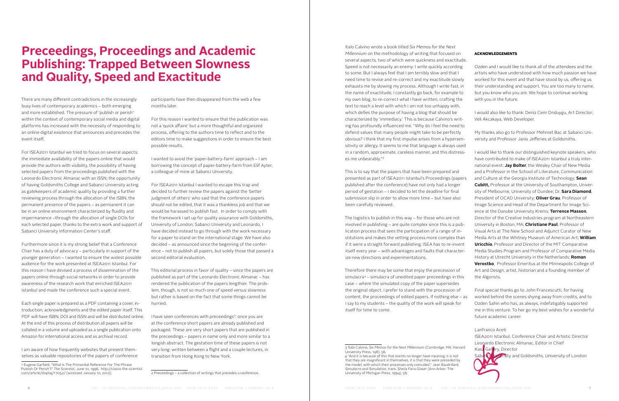There are many different contradictions in the increasingly busy lives of contemporary academics – both emerging and more established. The pressure of 'publish or perish'<sup>1</sup> within the context of contemporary social media and digital platforms has increased with the necessity of responding to an online digital existence that announces and precedes the event itself.

For ISEA2011 Istanbul we tried to focus on several aspects: the immediate availability of the papers online that would provide the authors with visibility, the possibility of having selected papers from the proceedings published with the Leonardo Electronic Almanac with an ISSN; the opportunity of having Goldsmiths College and Sabanci University acting as gatekeepers of academic quality by providing a further reviewing process through the allocation of the ISBN; the permanent presence of the papers – as permanent it can be in an online environment characterized by fluidity and impermanence –through the allocation of single DOIs for each selected paper, thanks to the extra work and support of Sabanci University Information Center's staff.

Furthermore since it is my strong belief that a Conference Chair has a duty of advocacy – particularly in support of the younger generation – I wanted to ensure the widest possible audience for the work presented at ISEA2011 Istanbul. For this reason I have devised a process of dissemination of the papers online through social networks in order to provide awareness of the research work that enriched ISEA2011 Istanbul and made the conference such a special event.

Each single paper is prepared as a PDF containing a cover, introduction, acknowledgments and the edited paper itself. This PDF will have ISBN, DOI and ISSN and will be distributed online. At the end of this process of distribution all papers will be collated in a volume and uploaded as a single publication onto Amazon for international access and as archival record.

I am aware of how frequently websites that present themselves as valuable repositories of the papers of conference I have seen conferences with preceedings<sup>2</sup>: once you are at the conference short papers are already published and packaged. These are very short papers that are published in the preceedings – papers in name only and more similar to a longish abstract. The gestation time of these papers is not very long: written between a flight and a couple lectures, in transition from Hong Kong to New York.

## **Preceedings, Proceedings and Academic Publishing: Trapped Between Slowness and Quality, Speed and Exactitude**

participants have then disappeared from the web a few months later.

For this reason I wanted to ensure that the publication was not a 'quick affaire' but a more thoughtful and organized process, offering to the authors time to reflect and to the editors time to make suggestions in order to ensure the best possible results.

I wanted to avoid the 'paper-battery-farm' approach – I am borrowing the concept of paper-battery-farm from Elif Ayter, a colleague of mine at Sabanci University.

For ISEA2011 Istanbul I wanted to escape this trap and decided to further review the papers against the 'better judgment of others' who said that the conference papers should not be edited, that it was a thankless job and that we would be harassed to publish fast. In order to comply with the framework I set up for quality assurance with Goldsmiths, University of London; Sabanci University and Leonardo, I have decided instead to go through with the work necessary for a paper to stand on the international stage. We have also decided – as announced since the beginning of the conference – not to publish all papers, but solely those that passed a second editorial evaluation.

This editorial process in favor of quality – since the papers are published as part of the Leonardo Electronic Almanac – has rendered the publication of the papers lengthier. The problem, though, is not so much one of speed versus slowness but rather is based on the fact that some things cannot be hurried.

2 Preceedings – a collection of writings that precedes a conference.

Lanfranco Aceti ISEA2011 Istanbul, Conference Chair and Artistic Director Leonardo Electronic Almanac, Editor in Chief Kasa Gallery, Director Sabanci University and Goldsmiths, University of London

Italo Calvino wrote a book titled *Six Memos for the Next Millennium* on the methodology of writing that focused on several aspects, two of which were quickness and exactitude. Speed is not necessarily an enemy: I write quickly according to some. But I always feel that I am terribly slow and that I need time to revise and re-correct and my exactitude slowly exhausts me by slowing my process. Although I write fast, in the name of exactitude, I constantly go back, for example to my own blog, to re-correct what I have written, crafting the text to reach a level with which I am not too unhappy with, which defies the purpose of having a blog that should be characterized by 'immediacy.' This is because Calvino's writing has profoundly influenced me. "Why do I feel the need to defend values that many people might take to be perfectly obvious? I think that my first impulse arises from a hypersensitivity or allergy. It seems to me that language is always used

been carefully reviewed.

simulacra4 – simulacra of unedited paper preceedings in this case – where the simulated copy of the paper supersedes the original object. I prefer to stand with the procession of content, the proceedings of edited papers. If nothing else – as I say to my students – the quality of the work will speak for itself for time to come.

in a random, approximate, careless manner, and this distresses me unbearably."3 This is to say that the papers that have been prepared and presented as part of ISEA2011 Istanbul's Proceedings (papers published after the conference) have not only had a longer period of gestation – I decided to let the deadline for final submission slip in order to allow more time – but have also The logistics to publish in this way – for those who are not involved in publishing – are quite complex since this is a publication process that sees the participation of a range of institutions and makes the vetting process more complex than if it were a straight forward publishing. ISEA has to re-invent itself every year – with advantages and faults that characterize new directions and experimentations. Therefore there may be some that enjoy the precession of I would like to thank our distinguished keynote speakers, who have contributed to make of ISEA2011 Istanbul a truly international event: **Jay Bolter**, the Wesley Chair of New Media and a Professor in the School of Literature, Communication and Culture at the Georgia Institute of Technology; **Sean Cubitt,** Professor at the University of Southampton, University of Melbourne, University of Dundee; Dr. **Sara Diamond**, President of OCAD University; **Oliver Grau**, Professor of Image Science and Head of the Department for Image Science at the Danube University Krems; **Terrence Masson**, Director of the Creative Industries program at Northeastern University in Boston, MA; **Christiane Paul**, Professor of Visual Arts at The New School and Adjunct Curator of New Media Arts at the Whitney Museum of American Art; **William Uricchio**, Professor and Director of the MIT Comparative Media Studies Program and Professor of Comparative Media History at Utrecht University in the Netherlands; **Roman Verostko**, Professor Emeritus at the Minneapolis College of Art and Design, artist, historian and a founding member of the Algorists.

### Acknowledgements

Ozden and I would like to thank all of the attendees and the artists who have understood with how much passion we have worked for this event and that have stood by us, offering us their understanding and support. You are too many to name, but you know who you are. We hope to continue working with you in the future.

I would also like to thank: Deniz Cem Onduygu, Art Director; Veli Akcakaya, Web Developer.

My thanks also go to Professor Mehmet Bac at Sabanci University and Professor Janis Jefferies at Goldsmiths.

Final special thanks go to John Francescutti, for having worked behind the scenes shying away from credits, and to Ozden Sahin who has, as always, indefatigably supported me in this venture. To her go my best wishes for a wonderful future academic career.

<sup>1</sup> Eugene Garfield, "What Is The Primordial Reference For The Phrase 'Publish Or Perish'?," *The Scientist*, June 10, 1996, [http://classic.the-scientist.](http://classic.the-scientist.com/article/display/17052/) [com/article/display/17052/](http://classic.the-scientist.com/article/display/17052/) (accessed January 10, 2012).

<sup>3</sup> Italo Calvino, *Six Memos for the Next Millennium* (Cambridge, MA: Harvard University Press, 198), 56.

<sup>4 &</sup>quot;And it is because of this that events no longer have meaning: it is not that they are insignificant in themselves, it is that they were preceded by the model, with which their processes only coincided." Jean Baudrillard, *Simulacra and Simulation*, trans. Sheila Faria Glaser (Ann Arbor: The University of Michigan Press, 1994), 56.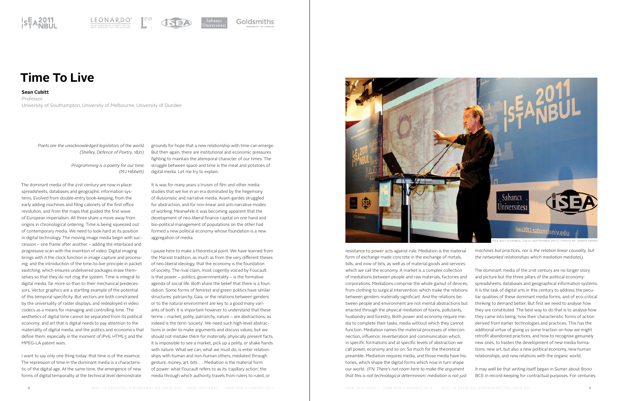

LEONARDO<sup>®</sup>





 *Poets are the unacknowledged legislators of the world. (Shelley, Defence of Poetry, 1821)*

> *Programming is a poetry for our time. (MJ Hibbett)*

The dominant media of the 21st century are now in place: spreadsheets, databases and geographic information systems. Evolved from double-entry book-keeping, from the early adding machines and filing cabinets of the first office revolution, and from the maps that guided the first wave of European imperialism. All three share a move away from origins in chronological ordering. Time is being squeezed out of contemporary media. We need to look hard at its position in digital technology. The moving image media begin with succession – one frame after another – adding the interlaced and progressive scan with the invention of video. Digital imaging brings with it the clock function in image capture and processing; and the introduction of the time-to-live principle in packet switching, which ensures undelivered packages erase themselves so that they do not clog the system. Time is integral to digital media, far more so than to their mechanical predecessors. Vector graphics are a startling example of the potential of this temporal specificity. But vectors are both constrained by the universality of raster displays, and redeployed in video codecs as a means for managing and controlling time. The aesthetics of digital time cannot be separated from its political economy: and art that is digital needs to pay attention to the materiality of digital media, and the politics and economics that define them, especially in the moment of IPv6, HTML5 and the MPEG-LA patent wars.

It is was for many years a truism of film and other media studies that we live in an era dominated by the hegemony of illusionistic and narrative media. Avant-gardes struggled for abstraction, and for non-linear and anti-narrative modes of working. Meanwhile it was becoming apparent that the development of neo-liberal finance capital on one hand and bio-political management of populations on the other had formed a new political economy whose foundation is a new aggregation of media.

I want to say only one thing today: that time is of the essence. The repression of time in the dominant media is a characteristic of the digital age. At the same time, the emergence of new forms of digital temporality at the technical level demonstrate

**Sean Cubitt**

Professor University of Southampton, University of Melbourne, University of Dundee

## **Time To Live**

grounds for hope that a new relationship with time can emerge. But then again, there are institutional and economic pressures fighting to maintain the atemporal character of our times. The struggle between space and time is the meat and potatoes of digital media. Let me try to explain.

I pause here to make a theoretical point. We have learned from the Marxist tradition, as much as from the very different theses of neo-liberal ideology, that the economy is the foundation of society. The rival claim, most cogently voiced by Foucault, is that power – politics, governmentality – is the formative agenda of social life. Both share the belief that there is a foundation. Some forms of feminist and green politics have similar structures: patriarchy, Gaia, or the relations between genders or to the natural environment are key to a good many variants of both. It is important however to understand that these terms – market, polity, patriarchy, nature – are abstractions, as indeed is the term 'society'. We need such high-level abstractions in order to make arguments and discuss values, but we should not mistake them for materially, physically present facts. It is impossible to see a market, pick up a polity, or shake hands with nature. What we can, what we must do, is enter relationships with human and non-human others, mediated through gesture, money, art, bits . . . Mediation is the material form of power: what Foucault refers to as its 'capillary action', the media through which authority travels from rulers to ruled, or

resistance to power acts against rule. Mediation is the material form of exchange made concrete in the exchange of metals, bills, and now of bits, as well as of material goods and services which we call the economy. A market is a complex collection of mediations between people and raw materials, factories and corporations. Mediations comprise the whole gamut of devices, from clothing to surgical intervention, which make the relations between genders materially significant. And the relations between people and environment are not mental abstractions but enacted through the physical mediation of toxins, pollutants, husbandry and forestry. Both power and economy require media to complete their tasks, media without which they cannot function. Mediation names the material processes of interconnection, influence, reverberation and communication which, in specific formations and at specific levels of abstraction we call power, economy and so on. So much for the theoretical preamble. Mediation requires media, and those media have histories, which shape the digital forms which now in turn shape our world. *(FN: There's not room here to make the argument that this is not technological determinism: mediation is not just machines but practices, nor is the relation linear causality, but the networked relationships which mediation mediates).* The dominant media of the 21st century are no longer story and picture but the three pillars of the political economy: spreadsheets, databases and geographical information systems. It is the task of digital arts in this century to address the peculiar qualities of these dominant media forms, and of eco-critical thinking to demand better. But first we need to analyse how they are constituted. The best way to do that is to analyse how they came into being: how their characteristic forms of action derived from earlier technologies and practices. This has the additional virtue of giving us some traction on how we might retrofit abandoned practices, and how to recognise genuinely new ones, to hasten the development of new media formations: new art, but also a new political economy, new human relationships, and new relations with the organic world. It may well be that writing itself began in Sumer about 8000 BCE in record-keeping for contractual purposes. For centuries

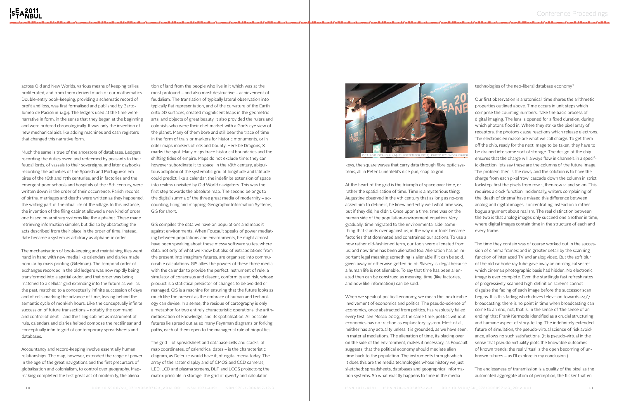across Old and New Worlds, various means of keeping tallies proliferated, and from them derived much of our mathematics. Double-entry book-keeping, providing a schematic record of profit and loss, was first formalised and published by Bartolomeo de Pacioli in 1494. The ledgers used at the time were narrative in form, in the sense that they began at the beginning and were ordered chronologically. It was only the invention of new mechanical aids like adding machines and cash registers that changed this narrative form.

Much the same is true of the ancestors of databases. Ledgers recording the duties owed and redeemed by peasants to their feudal lords, of vassals to their sovereigns, and later daybooks recording the activities of the Spanish and Portuguese empires of the 16th and 17th centuries, and in factories and the emergent poor schools and hospitals of the 18th century, were written down in the order of their occurrence. Parish records of births, marriages and deaths were written as they happened, the writing part of the ritual life of the village. In this instance, the invention of the filing cabinet allowed a new kind of order: one based on arbitrary systems like the alphabet. These made retrieving information simpler, but did so by abstracting the acts described from their place in the order of time. Instead, date became a system as arbitrary as alphabetic order.

The mechanisation of book-keeping and maintaining files went hand in hand with new media like calendars and diaries made popular by mass printing (Gitelman). The temporal order of exchanges recorded in the old ledgers was now rapidly being transformed into a spatial order, and that order was being matched to a cellular grid extending into the future as well as the past, matched to a conceptually infinite succession of days and of cells marking the advance of time, leaving behind the semantic cycle of monkish hours. Like the conceptually infinite succession of future transactions – notably the command and control of debt – and the filing cabinet as instrument of rule, calendars and diaries helped compose the rectilinear and conceptually infinite grid of contemporary spreadsheets and databases.

Accountancy and record-keeping involve essentially human relationships. The map, however, extended the range of power in the age of the great navigations and the first precursors of globalisation and colonialism, to control over geography. Mapmaking completed the first great act of modernity, the aliena-

tion of land from the people who live in it which was at the most profound – and also most destructive – achievement of feudalism. The translation of typically lateral observation into typically flat representation, and of the curvature of the Earth onto 2D surfaces, created magnificent leaps in the geometric arts, and objects of great beauty. It also provided the rulers and colonists who were their chef market with a God's eye view of the planet. Many of them bore and still bear the trace of time in the form of trails or markers for historic monuments, or In older maps markers of risk and bounty: Here be Dragons, X marks the spot. Many maps trace historical boundaries and the shifting tides of empire. Maps do not exclude time: they can however subordinate it to space. In the 18th century, ubiquitous adoption of the systematic grid of longitude and latitude could predict, like a calendar, the indefinite extension of space into realms unvisited by Old World navigators. This was the first step towards the absolute map. The second belongs to the digital summa of the three great media of modernity – accounting, filing and mapping: Geographic Information Systems, GIS for short.

GIS compiles the data we have on populations and maps it against environments. When Foucault speaks of power mediating between populations and environments, he might almost have been speaking about these messy software suites, where data, not only of what we know but also of extrapolations from the present into imaginary futures, are organised into communicable calculations. GIS allies the powers of these three media with the calendar to provide the perfect instrument of rule: a simulator of consensus and dissent, conformity and risk, whose product is a statistical predictor of changes to be avoided or managed. GIS is a machine for ensuring that the future looks as much like the present as the embrace of human and technology can devise. In a sense, the residue of cartography is only a metaphor for two entirely characteristic operations: the arithmeticisation of knowledge, and its spatialisation. All possible futures lie spread out as so many Feynman diagrams or forking paths, each of them open to the managerial rule of biopolitics.

The grid – of spreadsheet and database cells and stacks, of map coordinates, of calendrical dates – is the characteristic diagram, as Deleuze would have it, of digital media today. The array of the raster display and of CMOS and CCD cameras, LED, LCD and plasma screens, DLP and LCOS projectors; the matrix principle in storage, the grid of qwerty and calculator



keys, the square waves that carry data through fibre optic systems, all in Peter Lunenfeld's nice pun, snap to grid.

At the heart of the grid is the triumph of space over time, or rather the spatialisation of time. Time is a mysterious thing: Augustine observed in the 5th century that as long as no-one asked him to define it, he knew perfectly well what time was, but if they did, he didn't. Once upon a time, time was on the human side of the population-environment equation. Very gradually, time migrated to the environmental side: something that stands over against us, in the way our tools became factories that dominated and constrained our actions. To use a now rather old-fashioned term, our tools were alienated from us; and now time has been alienated too. Alienation has an important legal meaning: something is alienable if it can be sold, given away or otherwise gotten rid of. Slavery is illegal because a human life is not alienable. To say that time has been alienated then can be construed as meaning, time (like factories, and now like information) can be sold.

When we speak of political economy, we mean the inextricable involvement of economics and politics. The pseudo-science of economics, once abstracted from politics, has resolutely failed every test: see Mosco 2009; at the same time, politics without economics has no traction as explanatory system. Most of all, neither has any actuality unless it is grounded, as we have seen, in material mediations. The alienation of time, its placing over on the side of the environment, makes it necessary, as Foucault suggests, that the political economy should mediate alien time back to the population. The instruments through which it does this are the media technologies whose history we just sketched: spreadsheets, databases and geographical information systems. So what exactly happens to time in the media

technologies of the neo-liberal database economy?

Our first observation is anatomical: time shares the arithmetic properties outlined above. Time occurs in unit steps which comprise the counting numbers. Take the basic process of digital imaging. The lens is opened for a fixed duration, during which photons flood in. Where they strike the pixel array of receptors, the photons cause reactions which release electrons. The electrons en masse are what we call charge. To get them off the chip, ready for the next image to be taken, they have to be drained into some sort of storage. The design of the chip ensures that the charge will always flow in channels in a specific direction: lets say these are the columns of the future image. The problem then is the rows; and the solution is to have the charge from each pixel 'row' cascade down the column in strict lockstep: first the pixels from row 1, then row 2, and so on. This requires a clock function. Incidentally, writers complaining of the 'death of cinema' have missed this difference between analog and digital images, concentrating instead on a rather bogus argument about realism. The real distinction between the two is that analog images only succeed one another in time, where digital images contain time in the structure of each and every frame.

The time they contain was of course worked out in the succession of cinema frames; and in greater detail by the scanning function of interlaced TV and analog video. But the soft blur of the old cathode ray tube gave away an ontological secret which cinema's photographic basis had hidden. No electronic image is ever complete. Even the startlingly fast refresh rates of progressively-scanned high-definition screens cannot disguise the fading of each image before the successor scan begins. It is this fading which drives television towards 24/7 broadcasting: there is no point in time when broadcasting can come to an end, not, that is, in the sense of 'the sense of an ending' that Frank Kermode identified as a crucial structuring and humane aspect of story-telling. The indefinitely extended future of simulation, the pseudo-virtual science of risk avoidance, allows no such satisfactions. (It is pseudo-virtual in the sense that pseudo-virtuality plots the knowable outcomes of known trends: the real virtual is the open becoming of unknown futures – as I'll explore in my conclusion.)

The endlessness of transmission is a quality of the pixel as the automated aggregate atom of perception, the flicker that en-

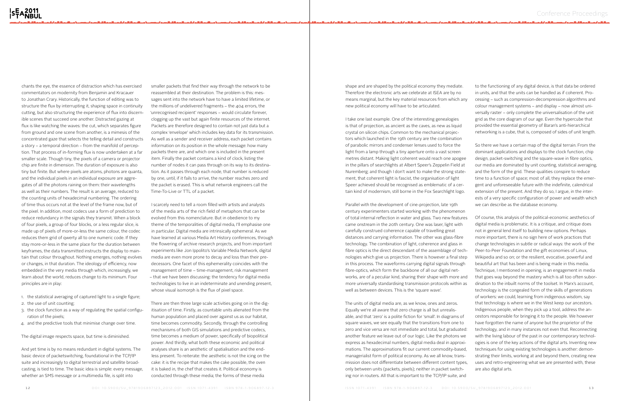chants the eye, the essence of distraction which has exercised commentators on modernity from Benjamin and Kracauer to Jonathan Crary. Historically, the function of editing was to structure the flux by interrupting it, shaping space in continuity cutting, but also structuring the experience of flux into discernible scenes that succeed one another. Distracted gazing at flux is like watching the waves: the cut, which separates figure from ground and one scene from another, is a mimesis of the concentrated gaze that selects the telling detail and constructs a story – a temporal direction – from the manifold of perception. That process of in-forming flux is now undertaken at a far smaller scale. Though tiny, the pixels of a camera or projector chip are finite in dimension. The duration of exposure is also tiny but finite. But where pixels are atoms, photons are quanta, and the individual pixels in an individual exposure are aggregates of all the photons raining on them: their wavelengths as well as their numbers. The result is an average, reduced to the counting units of hexadecimal numbering. The ordering of time thus occurs not at the level of the frame now, but of the pixel. In addition, most codecs use a form of prediction to reduce redundancy in the signals they transmit. When a block of four pixels, a group of four blocks, or a less regular slice, is made up of pixels of more-or-less the same colour, the codec reduces them grid of qwerty all to one numeric code. If they stay more-or-less in the same place for the duration between keyframes, the data transmitted instructs the display to maintain that colour throughout. Nothing emerges, nothing evolves or changes, in that duration. The ideology of efficiency, now embedded in the very media through which, increasingly, we learn about the world, reduces change to its minimum. Four principles are in play:

- 1. the statistical averaging of captured light to a single figure;
- 2. the use of unit counting;
- 3. the clock function as a way of regulating the spatial configuration of the pixels;
- 4. and the predictive tools that minimise change over time.

The digital image respects space, but time is diminished.

And yet time is by no means redundant in digital systems. The basic device of packetswitching, foundational in the TCP/IP suite and increasingly to digital terrestrial and satellite broadcasting, is tied to time. The basic idea is simple: every message, whether an SMS message or a multimedia file, is split into

smaller packets that find their way through the network to be reassembled at their destination. The problem is this: messages sent into the network have to have a limited lifetime, or the millions of undelivered fragments – the 404 errors, the 'unrecognised recipient' responses – would circulate forever, clogging up the vast but again finite resources of the internet. Packets are therefore designed to contain not just data but a complex 'envelope' which includes key data for its transmission. As well as a sender and receiver address, each packet contains information on its position in the whole message: how many packets there are, and which one is included in the present item. Finally the packet contains a kind of clock, listing the number of nodes it can pass through on its way to its destination. As it passes through each node, that number is reduced by one, until, if it fails to arrive, the number reaches zero and the packet is erased. This is what netwrok engineers call the Time-To-Live or TTL of a packet.

I scarcely need to tell a room filled with artists and analysts of the media arts of the rich field of metaphors that can be evolved from this nomenclature. But in obedience to my theme of the temporalities of digital media, I'll emphasise one in particular. Digital media are intrinsically ephemeral. As we have learned at various Media Art History conferences, through the flowering of archive research projects, and from important experiments like Jon Ippolito's Variable Media Network, digital media are even more prone to decay and loss than their predecessors. One facet of this ephemerality coincides with the management of time – time-management, risk management – that we have been discussing: the tendency for digital media technologies to live in an indeterminate and unending present, whose visual isomorph is the flux of pixel space.

There are then three large scale activities going on in the digitisation of time. Firstly, as countable units alienated from the human population and placed over against us as our habitat, time becomes commodity. Secondly, through the controlling mechanisms of both GIS simulations and predictive codecs, time becomes a medium of power, specifically of biopolitical power. And thirdly, what both these economic and political analyses share is an aesthetic of spatialisation and the endless present. To reiterate: the aesthetic is not the icing on the cake: it is the recipe that makes the cake possible, the oven it is baked in, the chef that creates it. Political economy is conducted through these media; the forms of these media

shape and are shaped by the political economy they mediate. Therefore the electronic arts we celebrate at ISEA are by no means marginal, but the key material resources from which any new political economy will have to be articulated.

I take one last example. One of the interesting genealogies is that of projection, as ancient as the caves, as new as liquid crystal on silicon chips. Common to the mechanical projectors which launched in the 19th century are the combination of parabolic mirrors and condenser lenses used to force the light from a lamp through a tiny aperture onto a vast screen metres distant. Making light coherent would reach one apogee in the pillars of searchlights at Albert Speer's Zeppelin Field at Nuremberg; and though I don't want to make the strong statement, that coherent light is fascist, the organisation of light Speer achieved should be recognised as emblematic of a certain kind of modernism, still borne in the Fox Searchlight logo.

The units of digital media are, as we know, ones and zeros. Equally we're all aware that zero charge is all but unrealisable, and that 'zero' is a polite fiction for 'small'. In diagrams of square waves, we see equally that the transitions from one to only between units (packets, pixels); neither in packet switching nor in routers. All that is important to the TCP/IP suite, and

to the functioning of any digital device, is that data be ordered in units, and that the units can be handled as if coherent. Processing – such as compression-decompression algorithms and colour management systems – and display – now almost universally raster – only complete the universalisation of the unit grid as the core diagram of our age. Even the hypercube that provided the essential geometry of Baran's anti-hierarchical networking is a cube, that is, composed of sides of unit length.

Parallel with the development of cine-projection, late 19th century experimenters started working with the phenomenon of total internal reflection in water and glass. Two new features came onstream in the 20th century. One was laser, light with carefully construed coherence capable of travelling great distances and carrying information. The other was glass-fibre technology. The combination of light, coherence and glass in fibre optics is the direct descendant of the assemblage of technologies which give us projection. There is however a final step in this process. The waveforms carrying digital signals through fibre-optics, which form the backbone of all our digital networks, are of a peculiar kind, sharing their shape with more and more universally standardising transmission protocols within as well as between devices. This is the 'square wave'. zero and vice versa are not immediate and total, but graduated: another feature we leave out of our logic. Like the photons we express as hexadecimal numbers, digital media deal in approximations. The approximations fit our current commodity-based, managerialist form of political economy. As we all know, transmission does not differentiate between different content types, we can describe as the database economy. Of course, this analysis of the political-economic aesthetics of digital media is problematic. It is a critique, and critique does not in general lend itself to building new options. Perhaps more important, there is no sign here of work practices that change technologies in subtle or radical ways: the work of the Peer-to-Peer Foundation and the gift economies of Linux, Wikipedia and so on; or the resilient, evocative, powerful and beautiful art that has been and is being made in this media. Technique, I mentioned in opening, is an engagement in media that goes way beyond the mastery which is all too often subordination to the inbuilt norms of the toolset. In Marx's account, technology is the congealed form of the skills of generations of workers: we could, learning from indigenous wisdom, say that technology is where we in the West keep our ancestors. Indigenous people, when they pick up a tool, address the ancestors responsible for bringing it to the people. We however have forgotten the name of anyone but the proprietor of the technology, and in many instances not even that. Reconnecting with the living labour of the past in our contemporary technologies is one of the key actions of the digital arts. Inventing new techniques for using existing technologies is another: demonstrating their limits, working at and beyond them, creating new uses and retro-engineering what we are presented with, these are also digital arts.

So there we have a certain map of the digital terrain. From the dominant applications and displays to the clock function, chip design, packet-switching and the square-wave in fibre optics, our media are dominated by unit counting, statistical averaging, and the form of the grid. These qualities conspire to reduce time to a function of space; most of all, they replace the emergent and unforeseeable future with the indefinite, calendrical extension of the present. And they do so, I argue, in the interests of a very specific configuration of power and wealth which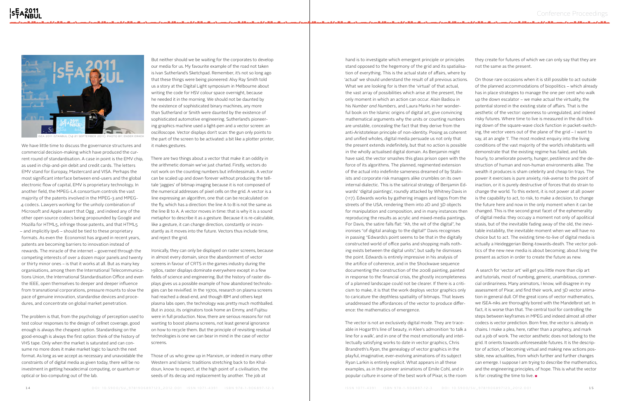We have little time to discuss the governance structures and commercial decision-making which have produced the current round of standardisation. A case in point is the EMV chip, as used in chip-and-pin debit and credit cards. The letters EMV stand for Europay, Mastercard and VISA. Perhaps the most significant interface between end-users and the global electronic flow of capital, EMV is proprietary technology. In another field, the MPEG-LA consortium controls the vast majority of the patents involved in the MPEG-3 and MPEG-4 codecs. Lawyers working for the unholy combination of Microsoft and Apple assert that Ogg , and indeed any of the other open source codecs being propounded by Google and Mozilla for HTML5, infringe those patents, and that HTML5 – and implicitly Ipv6 – should be tied to these proprietary formats. As even the Economist has argued in recent years, patents are becoming barriers to innovation instead of rewards. The miracle of the internet – governed through the competing interests of over a dozen major panels and twenty or thirty minor ones – is that it works at all. But as many key organisations, among them the International Telecommunications Union, the International Standardisation Office and even the IEEE, open themselves to deeper and deeper influence from transnational corporations, pressure mounts to slow the pace of genuine innovation, standardise devices and procedures, and concentrate on global market penetration.

The problem is that, from the psychology of perception used to test colour responses to the design of cellnet coverage, good enough is always the cheapest option. Standardising on the good-enough is always the first option: think of the history of VHS tape. Only when the market is saturated and can consume no more does it make market logic to launch the next format. As long as we accept as necessary and unavoidable the constraints of of digital media as given today, there will be no investment in getting hexadecimal computing, or quantum or optical or bio-computing out of the lab.

But neither should we be waiting for the corporates to develop our media for us. My favourite example of the road not taken is Ivan Sutherland's Sketchpad. Remember, it's not so long ago that these things were being pioneered: Alvy Ray Smith told us a story at the Digital Light symposium in Melbourne about writing the code for HSV colour space overnight, because he needed it in the morning. We should not be daunted by the existence of sophisticated binary machines, any more than Sutherland or Smith were daunted by the existence of sophisticated automotive engineering. Sutherland's pioneering graphics machine used a light-pen and a vector screen: an oscilloscope. Vector displays don't scan: the gun only points to the part of the screen to be activated: a bit like a plotter printer, it makes gestures.

There are two things about a vector that make it an oddity in the arithmetic domain we've just charted. Firstly, vectors do not work on the counting numbers but infinitessimals. A vector can be scaled up and down forever without producing the telltale 'jaggies' of bitmap imaging because it is not composed of the numerical addresses of pixel cells on the grid. A vector is a line expressing an algorithm, one that can be recalculated on the fly, which has a direction: the line A to B is not the same as the line B to A. A vector moves in time: that is why it is a sound metaphor to describe it as a gesture. Because it is re-calculable, like a gesture, it can change direction, constantly or inconstantly as it moves into the future. Vectors thus include time, and reject the grid.

Ironically, they can only be displayed on raster screens, because in almost every domain, since the abandonment of vector screens in favour of CRTS in the games industry during the 1980s, raster displays dominate everywhere except in a few fields of science and engineering. But the history of raster displays gives us a possible example of how abandoned technologies can be revivified. In the 1970s, research on plasma screens had reached a dead-end, and though IBM and others kept plasma labs open, the technology was pretty much mothballed. But in 2002, its originators took home an Emmy, and Fujitsu were in full production. Now, there are serious reasons for not wanting to boost plasma screens, not least general ignorance on how to recycle them. But the principle of revisiting residual technologies is one we can bear in mind in the case of vector screens.

Those of us who grew up in Marxism, or indeed in many other Western and Islamic traditions stretching back to Ibn Khaldoun, know to expect, at the high point of a civilisation, the seeds of its decay and replacement by another. The job at

hand is to investigate which emergent principle or principles stand opposed to the hegemony of the grid and its spatialisation of everything. This is the actual state of affairs, where by 'actual' we should understand the result of all previous actions. What we are looking for is then the 'virtual' of that actual, the vast array of possibilities which arise at the present, the only moment in which an action can occur. Alain Badiou in his *Number and Numbers*, and Laura Marks in her wonderful book on the Islamic origins of digital art, give convincing mathematical arguments why the units or counting numbers are unstable, concealing the fact that they derive from the anti-Aristotelean principle of non-identity. Posing as coherent and unified wholes, digital media persuade us not only that the present extends indefinitely, but that no action is possible in the wholly actualised digital domain. As Benjamin might have said, the vector smashes this glass prison open with the force of its algorithms. The planned, regimented extension of the actual into indefinite sameness dreamed of by Stalinists and corporate risk managers alike crumbles on its own internal dialectic. This is the satirical strategy of Benjamin Edwards' 'digital paintings', roundly attacked by Whitney Davis in (117). Edwards works by gathering images and logos from the streets of the USA, rendering them into 2D and 3D objects for manipulation and composition, and in many instances then reproducing the results as acrylic and mixed-media paintings. For Davis, the satire falls flat: "Ah, the wit of the digital", he ironises "of digital analogy to the digital!" Davis recognises in passing "Edwards's point seems to be that in the digitally constructed world of office parks and shopping malls nothing exists between the digital units", but sadly he dismisses the point. Edwards is entirely impressive in his analysis of the artifice of coherence, and in the Shockwave sequence documenting the construction of the 2008 painting, painted in response to the financial crisis, the ghostly incompleteness of a planned landscape could not be clearer. If there is a criticism to make, it is that the work deploys vector graphics only to caricature the depthless spatiality of bitmaps. That leaves unaddressed the affordances of the vector to produce difference: the mathematics of emergence.

The vector is not an exclusively digital mode. They are traceable in Hogarth's line of beauty, in Klee's admonition 'to talk a line for a walk', and in one of the most emotionally and intellectually satisfying works to date in vector graphics, Chris Brandreth's *Ryan*, the genealogy of vector graphics in the playful, imaginative, ever-evolving animations of its subject Ryan Larkin is entirely explicit. What appears in all these examples, as in the pioneer animations of Emile Cohl, and in popular culture in some of the best work of Pixar, is the room

they create for futures of which we can only say that they are not the same as the present.

On those rare occasions when it is still possible to act outside of the planned accommodations of biopolitics – which already has in place strategies to manage the one per cent who walk up the down escalator – we make actual the virtuality, the potential stored in the existing state of affairs. That is the aesthetic of the vector: openness to unregulated, and indeed risky futures. Where time to live is measured in the dull ticking down of the square-wave clock function in packet-switching, the vector veers out of the plane of the grid – I want to say, at an angle 'I'. The most modest enquiry into the living conditions of the vast majority of the world's inhabitants will demonstrate that the existing regime has failed, and fails hourly, to ameliorate poverty, hunger, pestilence and the destruction of human and non-human environments alike. The wealth it produces is sham celebrity and cheap tin trays. The power it exercises is pure anxiety, risk-averse to the point of inaction, or it is purely destructive of forces that do strain to change the world. To this extent, it is not power at all: power is the capability to act, to risk, to make a decision, to change the future here and now in the only moment when it can be changed. This is the second great facet of the ephemerality of digital media: they occupy a moment not only of apolitical stasis, but of the inevitable fading away of the old, the inevitable instability, the inevitable moment when we will have no choice but to act. The existing time-to-live of digital media is actually a Heideggerian Being-towards-death. The vector politics of the new new media is about becoming; about living the present as action in order to create the future as new.

 A search for 'vector art' will get you little more than clip art and tutorials, most of numbing, generic, unambitious, commercial ordinariness. Many animators, I know, will disagree in my assessment of Pixar, and find their work, and 3D vector animation in general dull. Of the great icons of vector mathematics, we ISEA-niks are thoroughly bored with the Mandelbrot set. In fact, it is worse than that. The central tool for controlling the steps between keyframes in MPEG and indeed almost all other codecs is vector prediction. Born free, the vector is already in chains. I make a plea, here, rather than a prophecy, and mark out a job of work. The vector aesthetic does not belong to the grid. It orients towards unforeseeable futures. It is the descriptor of action, of becoming virtual and making new actions possible, new actualities, from which further and further changes can emerge. I suppose I am trying to describe the mathematics, and the engineering principles, of hope. This is what the vector is for: creating the time to live. ■